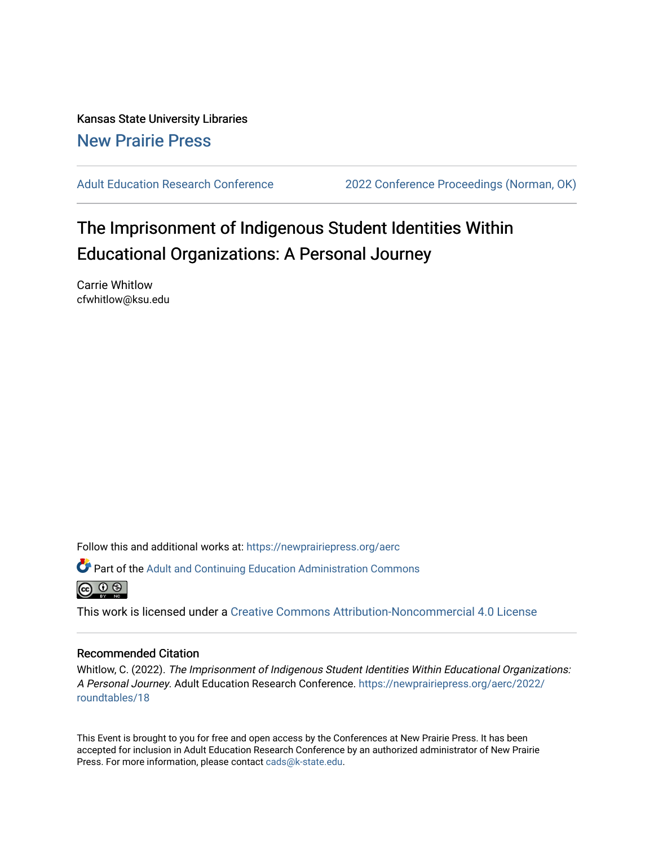Kansas State University Libraries [New Prairie Press](https://newprairiepress.org/) 

[Adult Education Research Conference](https://newprairiepress.org/aerc) [2022 Conference Proceedings \(Norman, OK\)](https://newprairiepress.org/aerc/2022) 

# The Imprisonment of Indigenous Student Identities Within Educational Organizations: A Personal Journey

Carrie Whitlow cfwhitlow@ksu.edu

Follow this and additional works at: [https://newprairiepress.org/aerc](https://newprairiepress.org/aerc?utm_source=newprairiepress.org%2Faerc%2F2022%2Froundtables%2F18&utm_medium=PDF&utm_campaign=PDFCoverPages)

Part of the [Adult and Continuing Education Administration Commons](https://network.bepress.com/hgg/discipline/789?utm_source=newprairiepress.org%2Faerc%2F2022%2Froundtables%2F18&utm_medium=PDF&utm_campaign=PDFCoverPages)



This work is licensed under a [Creative Commons Attribution-Noncommercial 4.0 License](https://creativecommons.org/licenses/by-nc/4.0/)

### Recommended Citation

Whitlow, C. (2022). The Imprisonment of Indigenous Student Identities Within Educational Organizations: A Personal Journey. Adult Education Research Conference. [https://newprairiepress.org/aerc/2022/](https://newprairiepress.org/aerc/2022/roundtables/18) [roundtables/18](https://newprairiepress.org/aerc/2022/roundtables/18)

This Event is brought to you for free and open access by the Conferences at New Prairie Press. It has been accepted for inclusion in Adult Education Research Conference by an authorized administrator of New Prairie Press. For more information, please contact [cads@k-state.edu.](mailto:cads@k-state.edu)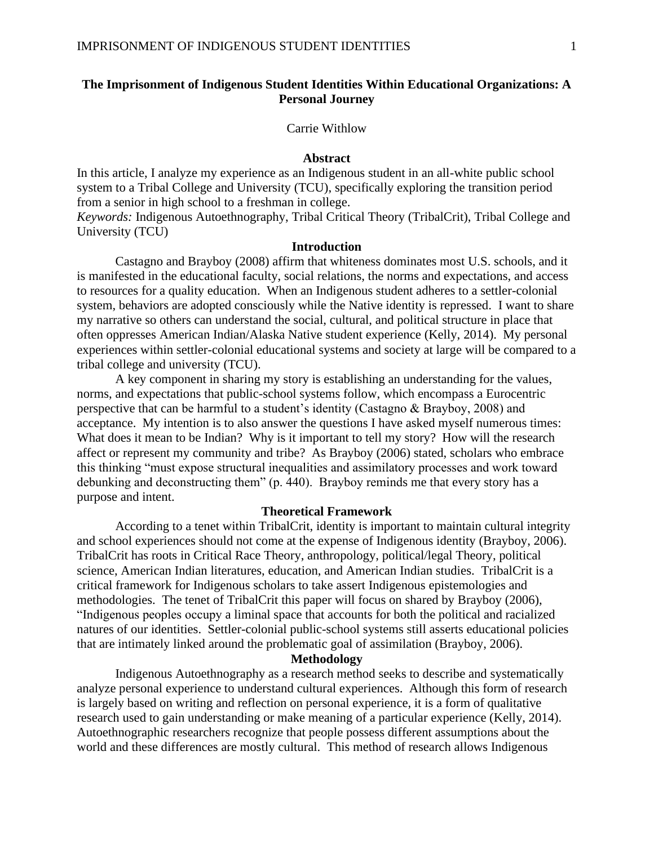# **The Imprisonment of Indigenous Student Identities Within Educational Organizations: A Personal Journey**

#### Carrie Withlow

#### **Abstract**

In this article, I analyze my experience as an Indigenous student in an all-white public school system to a Tribal College and University (TCU), specifically exploring the transition period from a senior in high school to a freshman in college.

*Keywords:* Indigenous Autoethnography, Tribal Critical Theory (TribalCrit), Tribal College and University (TCU)

## **Introduction**

Castagno and Brayboy (2008) affirm that whiteness dominates most U.S. schools, and it is manifested in the educational faculty, social relations, the norms and expectations, and access to resources for a quality education. When an Indigenous student adheres to a settler-colonial system, behaviors are adopted consciously while the Native identity is repressed. I want to share my narrative so others can understand the social, cultural, and political structure in place that often oppresses American Indian/Alaska Native student experience (Kelly, 2014). My personal experiences within settler-colonial educational systems and society at large will be compared to a tribal college and university (TCU).

A key component in sharing my story is establishing an understanding for the values, norms, and expectations that public-school systems follow, which encompass a Eurocentric perspective that can be harmful to a student's identity (Castagno & Brayboy, 2008) and acceptance. My intention is to also answer the questions I have asked myself numerous times: What does it mean to be Indian? Why is it important to tell my story? How will the research affect or represent my community and tribe? As Brayboy (2006) stated, scholars who embrace this thinking "must expose structural inequalities and assimilatory processes and work toward debunking and deconstructing them" (p. 440). Brayboy reminds me that every story has a purpose and intent.

#### **Theoretical Framework**

According to a tenet within TribalCrit, identity is important to maintain cultural integrity and school experiences should not come at the expense of Indigenous identity (Brayboy, 2006). TribalCrit has roots in Critical Race Theory, anthropology, political/legal Theory, political science, American Indian literatures, education, and American Indian studies. TribalCrit is a critical framework for Indigenous scholars to take assert Indigenous epistemologies and methodologies. The tenet of TribalCrit this paper will focus on shared by Brayboy (2006), "Indigenous peoples occupy a liminal space that accounts for both the political and racialized natures of our identities. Settler-colonial public-school systems still asserts educational policies that are intimately linked around the problematic goal of assimilation (Brayboy, 2006).

#### **Methodology**

Indigenous Autoethnography as a research method seeks to describe and systematically analyze personal experience to understand cultural experiences. Although this form of research is largely based on writing and reflection on personal experience, it is a form of qualitative research used to gain understanding or make meaning of a particular experience (Kelly, 2014). Autoethnographic researchers recognize that people possess different assumptions about the world and these differences are mostly cultural. This method of research allows Indigenous